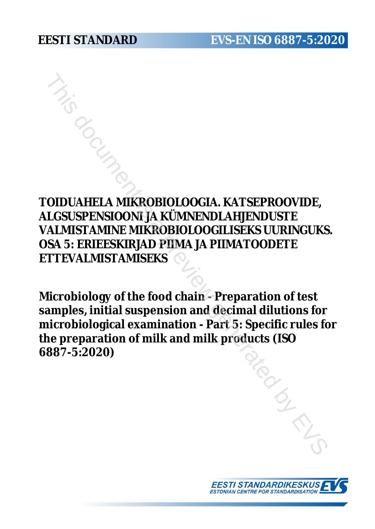**TOIDUAHELA MIKROBIOLOOGIA. KATSEPROOVIDE, ALGSUSPENSIOONI JA KÜMNENDLAHJENDUSTE VALMISTAMINE MIKROBIOLOOGILISEKS UURINGUKS. OSA 5: ERIEESKIRJAD PIIMA JA PIIMATOODETE ETTEVALMISTAMISEKS** THIS DOCUMENT AND MISSION CONTROLL ON THE SAME SUPPOSE CONTROLL OF SUPPOSE CONTROLL AND NOT CONTROLL OF THE VALUME MUST CALCULATE NOT THE VALUME MUST ARRIVE MUST CONTROLL SERVER UNIT OF THE VALUME TO PUMA JA PHIMATOODETE<br>T

**Microbiology of the food chain - Preparation of test samples, initial suspension and decimal dilutions for microbiological examination - Part 5: Specific rules for the preparation of milk and milk products (ISO 6887-5:2020)**

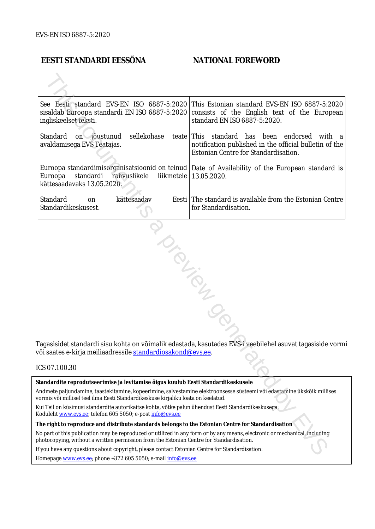#### **EESTI STANDARDI EESSÕNA NATIONAL FOREWORD**

| See Eesti standard EVS-EN ISO 6887-5:2020<br>ingliskeelset teksti.                                                                                                                                                     | This Estonian standard EVS-EN ISO 6887-5:2020<br>sisaldab Euroopa standardi EN ISO 6887-5:2020 consists of the English text of the European<br>standard EN ISO 6887-5:2020. |  |  |  |
|------------------------------------------------------------------------------------------------------------------------------------------------------------------------------------------------------------------------|-----------------------------------------------------------------------------------------------------------------------------------------------------------------------------|--|--|--|
| Standard<br>sellekohase<br>on jõustunud<br>avaldamisega EVS Teatajas.                                                                                                                                                  | teate This standard has been endorsed<br>with a<br>notification published in the official bulletin of the<br>Estonian Centre for Standardisation.                           |  |  |  |
| Euroopa<br>standardi<br>rahvuslikele<br>liikmetele<br>kättesaadavaks 13.05.2020.                                                                                                                                       | Euroopa standardimisorganisatsioonid on teinud   Date of Availability of the European standard is<br>13.05.2020.                                                            |  |  |  |
| Standard<br>kättesaadav<br>on<br>Standardikeskusest.                                                                                                                                                                   | Eesti The standard is available from the Estonian Centre<br>for Standardisation.                                                                                            |  |  |  |
| või saates e-kirja meiliaadressile <u>standardiosakond@evs.ee</u> .                                                                                                                                                    | Tagasisidet standardi sisu kohta on võimalik edastada, kasutades EVS-i veebilehel asuvat tagasiside vormi                                                                   |  |  |  |
| ICS 07.100.30                                                                                                                                                                                                          |                                                                                                                                                                             |  |  |  |
| Standardite reprodutseerimise ja levitamise õigus kuulub Eesti Standardikeskusele                                                                                                                                      |                                                                                                                                                                             |  |  |  |
| vormis või millisel teel ilma Eesti Standardikeskuse kirjaliku loata on keelatud.                                                                                                                                      | Andmete paljundamine, taastekitamine, kopeerimine, salvestamine elektroonsesse süsteemi või edastamine ükskõik millises                                                     |  |  |  |
| kui Teil on küsimusi standardite autorikaitse kohta, võtke palun ühendust Eesti Standardikeskusega:<br>Koduleht www.evs.ee; telefon 605 5050; e-post info@evs.ee                                                       |                                                                                                                                                                             |  |  |  |
| The right to reproduce and distribute standards belongs to the Estonian Centre for Standardisation                                                                                                                     |                                                                                                                                                                             |  |  |  |
| No part of this publication may be reproduced or utilized in any form or by any means, electronic or mechanical, including<br>photocopying, without a written permission from the Estonian Centre for Standardisation. |                                                                                                                                                                             |  |  |  |
| If you have any questions about copyright, please contact Estonian Centre for Standardisation:                                                                                                                         |                                                                                                                                                                             |  |  |  |
|                                                                                                                                                                                                                        |                                                                                                                                                                             |  |  |  |

#### ICS 07.100.30

Homepage [www.evs.ee](http://www.evs.ee/); phone +372 605 5050; e-mail info@evs.ee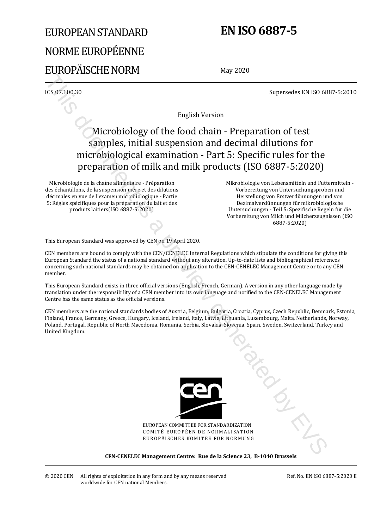# EUROPEAN STANDARD NORME EUROPÉENNE EUROPÄISCHE NORM

# **EN ISO 6887-5**

May 2020

ICS 07.100.30 Supersedes EN ISO 6887-5:2010

English Version

# Microbiology of the food chain - Preparation of test samples, initial suspension and decimal dilutions for microbiological examination - Part 5: Specific rules for the preparation of milk and milk products (ISO 6887-5:2020) Example 2013<br>
Supersedes EX ISO 68<br>
Supersedes EX ISO 68<br>
Supersedes EX ISO 68<br>
Supersedes EX ISO 68<br>
Supersedes EX ISO 68<br>
Supersedes EX ISO 68<br>
Supersedes EX ISO 68<br>
This considered by Collision and decrease in the cont

Microbiologie de la chaîne alimentaire - Préparation des échantillons, de la suspension mère et des dilutions décimales en vue de l'examen microbiologique - Partie 5: Règles spécifiques pour la préparation du lait et des produits laitiers(ISO 6887-5:2020)

 Mikrobiologie von Lebensmitteln und Futtermitteln - Vorbereitung von Untersuchungsproben und Herstellung von Erstverdünnungen und von Dezimalverdünnungen für mikrobiologische Untersuchungen - Teil 5: Spezifische Regeln für die Vorbereitung von Milch und Milcherzeugnissen (ISO 6887-5:2020)

This European Standard was approved by CEN on 19 April 2020.

CEN members are bound to comply with the CEN/CENELEC Internal Regulations which stipulate the conditions for giving this European Standard the status of a national standard without any alteration. Up-to-date lists and bibliographical references concerning such national standards may be obtained on application to the CEN-CENELEC Management Centre or to any CEN member.

This European Standard exists in three official versions (English, French, German). A version in any other language made by translation under the responsibility of a CEN member into its own language and notified to the CEN-CENELEC Management Centre has the same status as the official versions.

CEN members are the national standards bodies of Austria, Belgium, Bulgaria, Croatia, Cyprus, Czech Republic, Denmark, Estonia, Finland, France, Germany, Greece, Hungary, Iceland, Ireland, Italy, Latvia, Lithuania, Luxembourg, Malta, Netherlands, Norway, Poland, Portugal, Republic of North Macedonia, Romania, Serbia, Slovakia, Slovenia, Spain, Sweden, Switzerland, Turkey and United Kingdom.



EUROPEAN COMMITTEE FOR STANDARDIZATION COMITÉ EUROPÉEN DE NORMALISATION EUROPÄISCHES KOMITEE FÜR NORMUNG

**CEN-CENELEC Management Centre: Rue de la Science 23, B-1040 Brussels** 

Ref. No. EN ISO 6887-5:2020 E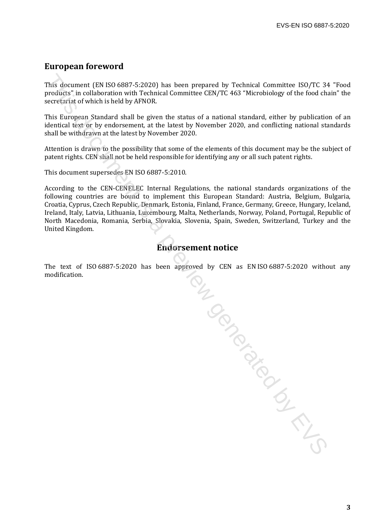#### **European foreword**

This document (EN ISO 6887-5:2020) has been prepared by Technical Committee ISO/TC 34 "Food products" in collaboration with Technical Committee CEN/TC 463 "Microbiology of the food chain" the secretariat of which is held by AFNOR.

This European Standard shall be given the status of a national standard, either by publication of an identical text or by endorsement, at the latest by November 2020, and conflicting national standards shall be withdrawn at the latest by November 2020.

Attention is drawn to the possibility that some of the elements of this document may be the subject of patent rights. CEN shall not be held responsible for identifying any or all such patent rights.

This document supersedes EN ISO 6887-5:2010.

According to the CEN-CENELEC Internal Regulations, the national standards organizations of the following countries are bound to implement this European Standard: Austria, Belgium, Bulgaria, Croatia, Cyprus, Czech Republic, Denmark, Estonia, Finland, France, Germany, Greece, Hungary, Iceland, Ireland, Italy, Latvia, Lithuania, Luxembourg, Malta, Netherlands, Norway, Poland, Portugal, Republic of North Macedonia, Romania, Serbia, Slovakia, Slovenia, Spain, Sweden, Switzerland, Turkey and the United Kingdom.

#### **Endorsement notice**

The text of ISO 6887-5:2020 has been approved by CEN as EN ISO 6887-5:2020 without any modification. wed . We compare the comparable is a previous comparable in the comparable in the comparable in the comparable in the comparable in the comparable in the comparable in the comparable in the comparable in the comparable in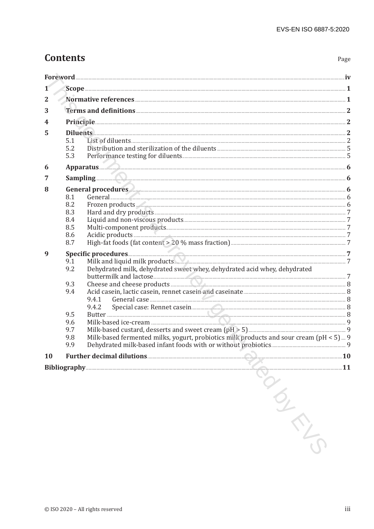# **Contents**

| 1            |                                                             |                                                                                                                                                                                                                                                                                                                                                                                                                                                                                                                                                                                                                                                                                                                                                                                |  |
|--------------|-------------------------------------------------------------|--------------------------------------------------------------------------------------------------------------------------------------------------------------------------------------------------------------------------------------------------------------------------------------------------------------------------------------------------------------------------------------------------------------------------------------------------------------------------------------------------------------------------------------------------------------------------------------------------------------------------------------------------------------------------------------------------------------------------------------------------------------------------------|--|
| $\mathbf{2}$ |                                                             |                                                                                                                                                                                                                                                                                                                                                                                                                                                                                                                                                                                                                                                                                                                                                                                |  |
| 3            |                                                             | Terms and definitions <b>Executions</b> 2                                                                                                                                                                                                                                                                                                                                                                                                                                                                                                                                                                                                                                                                                                                                      |  |
| 4            |                                                             |                                                                                                                                                                                                                                                                                                                                                                                                                                                                                                                                                                                                                                                                                                                                                                                |  |
| 5            | Diluents 2                                                  |                                                                                                                                                                                                                                                                                                                                                                                                                                                                                                                                                                                                                                                                                                                                                                                |  |
|              | 5.1                                                         |                                                                                                                                                                                                                                                                                                                                                                                                                                                                                                                                                                                                                                                                                                                                                                                |  |
|              | 5.2<br>5.3                                                  |                                                                                                                                                                                                                                                                                                                                                                                                                                                                                                                                                                                                                                                                                                                                                                                |  |
|              |                                                             |                                                                                                                                                                                                                                                                                                                                                                                                                                                                                                                                                                                                                                                                                                                                                                                |  |
| 6            |                                                             | Sampling 6                                                                                                                                                                                                                                                                                                                                                                                                                                                                                                                                                                                                                                                                                                                                                                     |  |
| 7            |                                                             |                                                                                                                                                                                                                                                                                                                                                                                                                                                                                                                                                                                                                                                                                                                                                                                |  |
| 8            | 8.1                                                         | General procedures 6                                                                                                                                                                                                                                                                                                                                                                                                                                                                                                                                                                                                                                                                                                                                                           |  |
|              | 8.2                                                         | Frozen products. 2000 million between 1980 million between 1980 million between 1980 million between 1980 million between 1980 million between 1980 million between 1980 million between 1980 million between 1980 million bet                                                                                                                                                                                                                                                                                                                                                                                                                                                                                                                                                 |  |
|              | 8.3                                                         |                                                                                                                                                                                                                                                                                                                                                                                                                                                                                                                                                                                                                                                                                                                                                                                |  |
|              | 8.4                                                         |                                                                                                                                                                                                                                                                                                                                                                                                                                                                                                                                                                                                                                                                                                                                                                                |  |
|              | 8.5<br>8.6                                                  |                                                                                                                                                                                                                                                                                                                                                                                                                                                                                                                                                                                                                                                                                                                                                                                |  |
|              | 8.7                                                         |                                                                                                                                                                                                                                                                                                                                                                                                                                                                                                                                                                                                                                                                                                                                                                                |  |
| 9            | 9.1<br>9.2<br>9.3<br>9.4<br>9.5<br>9.6<br>9.7<br>9.8<br>9.9 | Milk and liquid milk products Manual Communication and Theory 7<br>Dehydrated milk, dehydrated sweet whey, dehydrated acid whey, dehydrated<br>Cheese and cheese products <b>All and Cheese and Cheese</b> and Cheese and Cheese and Cheese and Cheese and Cheese and Cheese and Cheese and Cheese and Cheese and Cheese and Cheese and Cheese and Cheese and Cheese and Cheese an<br>Special case: Rennet casein <b>and a set of the contract of the set of the set of the set of the set of the set of the set of the set of the set of the set of the set of the set of the set of the set of the set of the set of</b><br>9.4.2<br>Milk-based fermented milks, yogurt, probiotics milk products and sour cream (pH < 5) 9<br>the property of the control of the control of |  |
| <b>10</b>    |                                                             |                                                                                                                                                                                                                                                                                                                                                                                                                                                                                                                                                                                                                                                                                                                                                                                |  |
|              |                                                             | Bibliography <b>Executive Strategie and Strategie and Strategie and Strategie and Strategie and Strategie and Strategie and Strategie and Strategie and Strategie and Strategie and Strategie and Strategie and Strategie and St</b>                                                                                                                                                                                                                                                                                                                                                                                                                                                                                                                                           |  |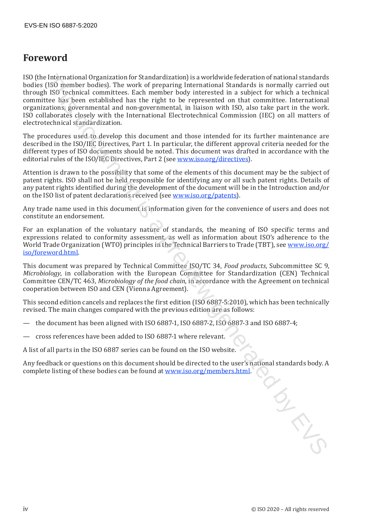### **Foreword**

ISO (the International Organization for Standardization) is a worldwide federation of national standards bodies (ISO member bodies). The work of preparing International Standards is normally carried out through ISO technical committees. Each member body interested in a subject for which a technical committee has been established has the right to be represented on that committee. International organizations, governmental and non-governmental, in liaison with ISO, also take part in the work. ISO collaborates closely with the International Electrotechnical Commission (IEC) on all matters of electrotechnical standardization. International Organization (or Standardization) is a wondivorbide electric on of rational standardization (SIS) tensines in R60 technical commutices. Each member body international commutices is a subject for which a tech

The procedures used to develop this document and those intended for its further maintenance are described in the ISO/IEC Directives, Part 1. In particular, the different approval criteria needed for the different types of ISO documents should be noted. This document was drafted in accordance with the editorial rules of the ISO/IEC Directives, Part 2 (see www.iso.org/directives).

Attention is drawn to the possibility that some of the elements of this document may be the subject of patent rights. ISO shall not be held responsible for identifying any or all such patent rights. Details of any patent rights identified during the development of the document will be in the Introduction and/or on the ISO list of patent declarations received (see www.iso.org/patents).

Any trade name used in this document is information given for the convenience of users and does not constitute an endorsement.

For an explanation of the voluntary nature of standards, the meaning of ISO specific terms and expressions related to conformity assessment, as well as information about ISO's adherence to the World Trade Organization (WTO) principles in the Technical Barriers to Trade (TBT), see www.iso.org/ iso/foreword.html.

This document was prepared by Technical Committee ISO/TC 34, *Food products*, Subcommittee SC 9, *Microbiology*, in collaboration with the European Committee for Standardization (CEN) Technical Committee CEN/TC 463, *Microbiology of the food chain*, in accordance with the Agreement on technical cooperation between ISO and CEN (Vienna Agreement).

This second edition cancels and replaces the first edition (ISO 6887-5:2010), which has been technically revised. The main changes compared with the previous edition are as follows:

- the document has been aligned with ISO 6887-1, ISO 6887-2, ISO 6887-3 and ISO 6887-4;
- cross references have been added to ISO 6887-1 where relevant.

A list of all parts in the ISO 6887 series can be found on the ISO website.

Any feedback or questions on this document should be directed to the user's national standards body. A complete listing of these bodies can be found at www.iso.org/members.html.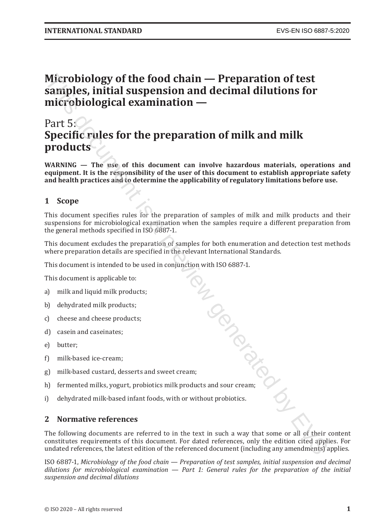# **Microbiology of the food chain — Preparation of test samples, initial suspension and decimal dilutions for microbiological examination —** Microbiology of the food chain — Preparation of test<br>smiples, initial suspension and decimal dilutions for<br>microbiological examination —<br>Part 5:<br>Specific rules for the preparation of milk and milk<br>products<br> $\text{Spec}(\mathbf{F}, \mathbf$

## Part 5: **Specific rules for the preparation of milk and milk products**

**WARNING — The use of this document can involve hazardous materials, operations and equipment. It is the responsibility of the user of this document to establish appropriate safety and health practices and to determine the applicability of regulatory limitations before use.**

#### **1 Scope**

This document specifies rules for the preparation of samples of milk and milk products and their suspensions for microbiological examination when the samples require a different preparation from the general methods specified in ISO 6887-1.

This document excludes the preparation of samples for both enumeration and detection test methods where preparation details are specified in the relevant International Standards.

This document is applicable to:

- a) milk and liquid milk products;
- b) dehydrated milk products;
- c) cheese and cheese products;
- d) casein and caseinates;
- e) butter;
- f) milk-based ice-cream;
- g) milk-based custard, desserts and sweet cream;
- This document is intended to be used in conjunction with ISO 6887-1. h) fermented milks, yogurt, probiotics milk products and sour cream;
- i) dehydrated milk-based infant foods, with or without probiotics.

#### **2 Normative references**

The following documents are referred to in the text in such a way that some or all of their content constitutes requirements of this document. For dated references, only the edition cited applies. For undated references, the latest edition of the referenced document (including any amendments) applies.

ISO 6887-1, *Microbiology of the food chain — Preparation of test samples, initial suspension and decimal dilutions for microbiological examination — Part 1: General rules for the preparation of the initial suspension and decimal dilutions*